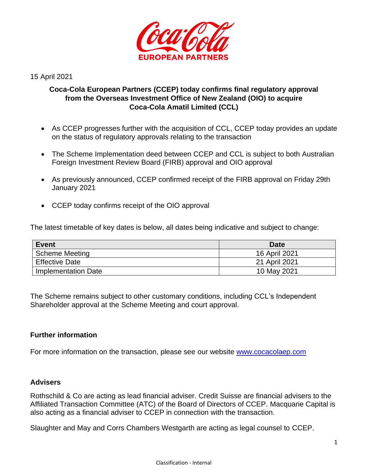

15 April 2021

# **Coca-Cola European Partners (CCEP) today confirms final regulatory approval from the Overseas Investment Office of New Zealand (OIO) to acquire Coca-Cola Amatil Limited (CCL)**

- As CCEP progresses further with the acquisition of CCL, CCEP today provides an update on the status of regulatory approvals relating to the transaction
- The Scheme Implementation deed between CCEP and CCL is subject to both Australian Foreign Investment Review Board (FIRB) approval and OIO approval
- As previously announced, CCEP confirmed receipt of the FIRB approval on Friday 29th January 2021
- CCEP today confirms receipt of the OIO approval

The latest timetable of key dates is below, all dates being indicative and subject to change:

| <b>Event</b>          | <b>Date</b>   |
|-----------------------|---------------|
| <b>Scheme Meeting</b> | 16 April 2021 |
| <b>Effective Date</b> | 21 April 2021 |
| Implementation Date   | 10 May 2021   |

The Scheme remains subject to other customary conditions, including CCL's Independent Shareholder approval at the Scheme Meeting and court approval.

## **Further information**

For more information on the transaction, please see our website [www.cocacolaep.com](http://www.cocacolaep.com/)

## **Advisers**

Rothschild & Co are acting as lead financial adviser. Credit Suisse are financial advisers to the Affiliated Transaction Committee (ATC) of the Board of Directors of CCEP. Macquarie Capital is also acting as a financial adviser to CCEP in connection with the transaction.

Slaughter and May and Corrs Chambers Westgarth are acting as legal counsel to CCEP.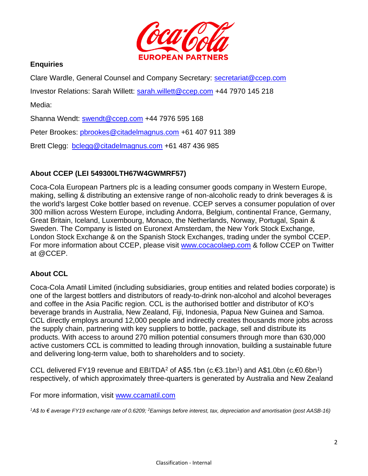

## **Enquiries**

Clare Wardle, General Counsel and Company Secretary: [secretariat@ccep.com](mailto:secretariat@ccep.com)

Investor Relations: Sarah Willett: [sarah.willett@ccep.com](mailto:sarah.willett@ccep.com) +44 7970 145 218

Media:

Shanna Wendt: [swendt@ccep.com](mailto:swendt@ccep.com) +44 7976 595 168

Peter Brookes: [pbrookes@citadelmagnus.com](mailto:pbrookes@citadelmagnus.com) +61 407 911 389

Brett Clegg: [bclegg@citadelmagnus.com](mailto:bclegg@citadelmagnus.com) +61 487 436 985

# **About CCEP (LEI 549300LTH67W4GWMRF57)**

Coca-Cola European Partners plc is a leading consumer goods company in Western Europe, making, selling & distributing an extensive range of non-alcoholic ready to drink beverages & is the world's largest Coke bottler based on revenue. CCEP serves a consumer population of over 300 million across Western Europe, including Andorra, Belgium, continental France, Germany, Great Britain, Iceland, Luxembourg, Monaco, the Netherlands, Norway, Portugal, Spain & Sweden. The Company is listed on Euronext Amsterdam, the New York Stock Exchange, London Stock Exchange & on the Spanish Stock Exchanges, trading under the symbol CCEP. For more information about CCEP, please visit [www.cocacolaep.com](http://www.cocacolaep.com/) & follow CCEP on Twitter at @CCEP.

## **About CCL**

Coca-Cola Amatil Limited (including subsidiaries, group entities and related bodies corporate) is one of the largest bottlers and distributors of ready-to-drink non-alcohol and alcohol beverages and coffee in the Asia Pacific region. CCL is the authorised bottler and distributor of KO's beverage brands in Australia, New Zealand, Fiji, Indonesia, Papua New Guinea and Samoa. CCL directly employs around 12,000 people and indirectly creates thousands more jobs across the supply chain, partnering with key suppliers to bottle, package, sell and distribute its products. With access to around 270 million potential consumers through more than 630,000 active customers CCL is committed to leading through innovation, building a sustainable future and delivering long-term value, both to shareholders and to society.

CCL delivered FY19 revenue and EBITDA<sup>2</sup> of A\$5.1bn (c.€3.1bn<sup>1</sup>) and A\$1.0bn (c.€0.6bn<sup>1</sup>) respectively, of which approximately three-quarters is generated by Australia and New Zealand

For more information, visit www.ccamatil.com

*<sup>1</sup>A\$ to € average FY19 exchange rate of 0.6209; <sup>2</sup>Earnings before interest, tax, depreciation and amortisation (post AASB-16)*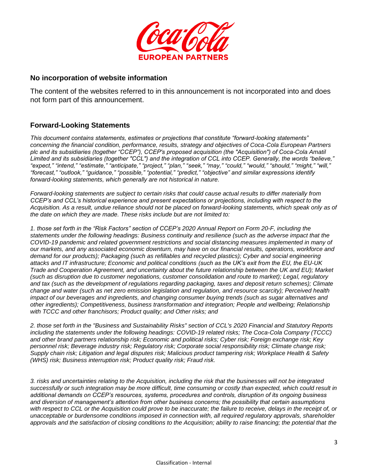

#### **No incorporation of website information**

The content of the websites referred to in this announcement is not incorporated into and does not form part of this announcement.

## **Forward-Looking Statements**

*This document contains statements, estimates or projections that constitute "forward-looking statements" concerning the financial condition, performance, results, strategy and objectives of Coca-Cola European Partners plc and its subsidiaries (together "CCEP"), CCEP's proposed acquisition (the "Acquisition") of Coca-Cola Amatil Limited and its subsidiaries (together "CCL") and the integration of CCL into CCEP. Generally, the words "believe," "expect," "intend," "estimate," "anticipate," "project," "plan," "seek," "may," "could," "would," "should," "might," "will," "forecast," "outlook," "guidance," "possible," "potential," "predict," "objective" and similar expressions identify forward-looking statements, which generally are not historical in nature.* 

*Forward-looking statements are subject to certain risks that could cause actual results to differ materially from CCEP's and CCL's historical experience and present expectations or projections, including with respect to the Acquisition. As a result, undue reliance should not be placed on forward-looking statements, which speak only as of the date on which they are made. These risks include but are not limited to:*

*1. those set forth in the "Risk Factors" section of CCEP's 2020 Annual Report on Form 20-F, including the statements under the following headings: Business continuity and resilience (such as the adverse impact that the COVID-19 pandemic and related government restrictions and social distancing measures implemented in many of our markets, and any associated economic downturn, may have on our financial results, operations, workforce and demand for our products); Packaging (such as refillables and recycled plastics); Cyber and social engineering attacks and IT infrastructure; Economic and political conditions (such as the UK's exit from the EU, the EU-UK Trade and Cooperation Agreement, and uncertainty about the future relationship between the UK and EU); Market (such as disruption due to customer negotiations, customer consolidation and route to market); Legal, regulatory*  and tax (such as the development of regulations regarding packaging, taxes and deposit return schemes); Climate *change and water (such as net zero emission legislation and regulation, and resource scarcity); Perceived health impact of our beverages and ingredients, and changing consumer buying trends (such as sugar alternatives and other ingredients); Competitiveness, business transformation and integration; People and wellbeing; Relationship with TCCC and other franchisors; Product quality; and Other risks; and*

*2. those set forth in the "Business and Sustainability Risks" section of CCL's 2020 Financial and Statutory Reports including the statements under the following headings: COVID-19 related risks; The Coca-Cola Company (TCCC) and other brand partners relationship risk; Economic and political risks; Cyber risk; Foreign exchange risk; Key personnel risk; Beverage industry risk; Regulatory risk; Corporate social responsibility risk; Climate change risk; Supply chain risk; Litigation and legal disputes risk; Malicious product tampering risk; Workplace Health & Safety (WHS) risk; Business interruption risk; Product quality risk; Fraud risk.*

*3. risks and uncertainties relating to the Acquisition, including the risk that the businesses will not be integrated successfully or such integration may be more difficult, time consuming or costly than expected, which could result in additional demands on CCEP's resources, systems, procedures and controls, disruption of its ongoing business and diversion of management's attention from other business concerns; the possibility that certain assumptions with respect to CCL or the Acquisition could prove to be inaccurate; the failure to receive, delays in the receipt of, or unacceptable or burdensome conditions imposed in connection with, all required regulatory approvals, shareholder approvals and the satisfaction of closing conditions to the Acquisition; ability to raise financing; the potential that the*